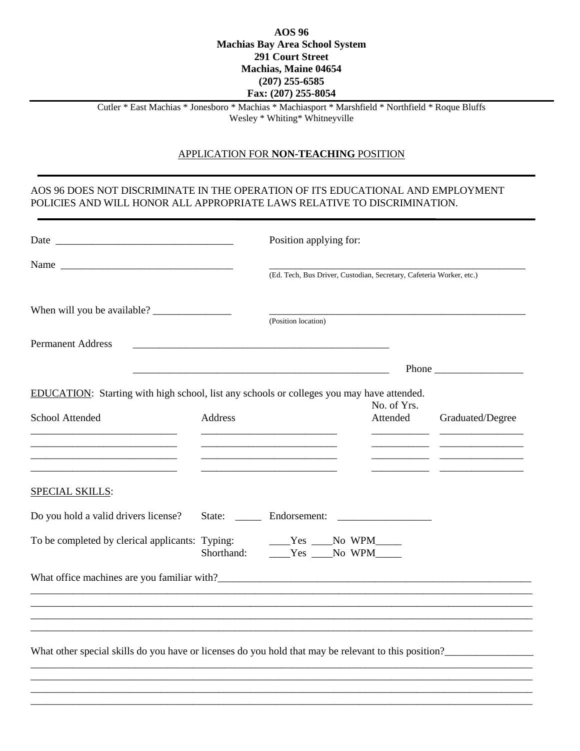## **AOS 96 Machias Bay Area School System 291 Court Street Machias, Maine 04654 (207) 255-6585 Fax: (207) 255-8054**

Cutler \* East Machias \* Jonesboro \* Machias \* Machiasport \* Marshfield \* Northfield \* Roque Bluffs Wesley \* Whiting\* Whitneyville

## APPLICATION FOR **NON-TEACHING** POSITION

## AOS 96 DOES NOT DISCRIMINATE IN THE OPERATION OF ITS EDUCATIONAL AND EMPLOYMENT POLICIES AND WILL HONOR ALL APPROPRIATE LAWS RELATIVE TO DISCRIMINATION.

|                                                                                                              |                                                                                                                        | Position applying for:                                               |                                         |                         |                  |
|--------------------------------------------------------------------------------------------------------------|------------------------------------------------------------------------------------------------------------------------|----------------------------------------------------------------------|-----------------------------------------|-------------------------|------------------|
| Name                                                                                                         |                                                                                                                        | (Ed. Tech, Bus Driver, Custodian, Secretary, Cafeteria Worker, etc.) |                                         |                         |                  |
|                                                                                                              |                                                                                                                        | (Position location)                                                  |                                         |                         |                  |
| <b>Permanent Address</b>                                                                                     |                                                                                                                        |                                                                      |                                         |                         |                  |
|                                                                                                              | <u> 1989 - Johann Barn, mars ann an t-Amhain ann an t-Amhain an t-Amhain an t-Amhain an t-Amhain an t-Amhain an t-</u> |                                                                      |                                         |                         |                  |
| EDUCATION: Starting with high school, list any schools or colleges you may have attended.<br>School Attended | Address                                                                                                                |                                                                      |                                         | No. of Yrs.<br>Attended | Graduated/Degree |
| SPECIAL SKILLS:<br>Do you hold a valid drivers license?                                                      |                                                                                                                        |                                                                      |                                         |                         |                  |
| To be completed by clerical applicants: Typing:                                                              | Typing:<br>Shorthand:                                                                                                  |                                                                      | ____Yes ____No WPM_____<br>$Yes$ No WPM |                         |                  |
|                                                                                                              |                                                                                                                        |                                                                      |                                         |                         |                  |
|                                                                                                              |                                                                                                                        |                                                                      |                                         |                         |                  |
|                                                                                                              |                                                                                                                        |                                                                      |                                         |                         |                  |
| What other special skills do you have or licenses do you hold that may be relevant to this position?         |                                                                                                                        |                                                                      |                                         |                         |                  |
|                                                                                                              |                                                                                                                        |                                                                      |                                         |                         |                  |
|                                                                                                              |                                                                                                                        |                                                                      |                                         |                         |                  |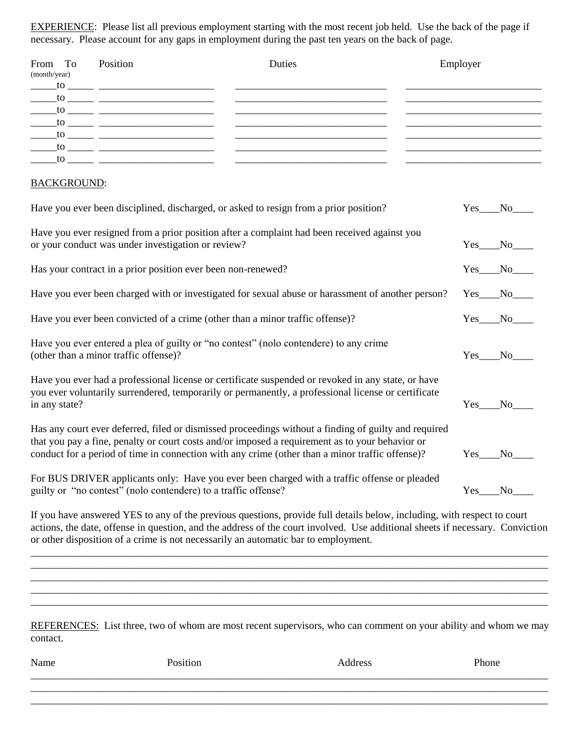EXPERIENCE: Please list all previous employment starting with the most recent job held. Use the back of the page if necessary. Please account for any gaps in employment during the past ten years on the back of page.

| From To<br>(month/year)                                                                                                        | Position<br>$\frac{1}{10}$ to $\frac{1}{10}$ $\frac{1}{10}$ $\frac{1}{10}$ $\frac{1}{10}$ $\frac{1}{10}$ $\frac{1}{10}$ $\frac{1}{10}$ $\frac{1}{10}$ $\frac{1}{10}$ $\frac{1}{10}$ $\frac{1}{10}$ $\frac{1}{10}$ $\frac{1}{10}$ $\frac{1}{10}$ $\frac{1}{10}$ $\frac{1}{10}$ $\frac{1}{10}$ $\frac{1}{10}$ $\frac{1}{10}$<br>$\frac{1}{\sqrt{1-\frac{1}{2}}}\frac{1}{\sqrt{1-\frac{1}{2}}}\frac{1}{\sqrt{1-\frac{1}{2}}}\frac{1}{\sqrt{1-\frac{1}{2}}}\frac{1}{\sqrt{1-\frac{1}{2}}}\frac{1}{\sqrt{1-\frac{1}{2}}}\frac{1}{\sqrt{1-\frac{1}{2}}}\frac{1}{\sqrt{1-\frac{1}{2}}}\frac{1}{\sqrt{1-\frac{1}{2}}}\frac{1}{\sqrt{1-\frac{1}{2}}}\frac{1}{\sqrt{1-\frac{1}{2}}}\frac{1}{\sqrt{1-\frac{1}{2}}}\frac{1}{\sqrt{1-\frac{1}{2}}}\frac{1}{\sqrt{1-\frac{$<br>$\frac{1}{\sqrt{1-\frac{1}{2}}}\frac{1}{\sqrt{1-\frac{1}{2}}}\frac{1}{\sqrt{1-\frac{1}{2}}}\frac{1}{\sqrt{1-\frac{1}{2}}}\frac{1}{\sqrt{1-\frac{1}{2}}}\frac{1}{\sqrt{1-\frac{1}{2}}}\frac{1}{\sqrt{1-\frac{1}{2}}}\frac{1}{\sqrt{1-\frac{1}{2}}}\frac{1}{\sqrt{1-\frac{1}{2}}}\frac{1}{\sqrt{1-\frac{1}{2}}}\frac{1}{\sqrt{1-\frac{1}{2}}}\frac{1}{\sqrt{1-\frac{1}{2}}}\frac{1}{\sqrt{1-\frac{1}{2}}}\frac{1}{\sqrt{1-\frac{$<br>$\frac{1}{\sqrt{1-\frac{1}{2}}}\frac{1}{\sqrt{1-\frac{1}{2}}}\frac{1}{\sqrt{1-\frac{1}{2}}}\frac{1}{\sqrt{1-\frac{1}{2}}}\frac{1}{\sqrt{1-\frac{1}{2}}}\frac{1}{\sqrt{1-\frac{1}{2}}}\frac{1}{\sqrt{1-\frac{1}{2}}}\frac{1}{\sqrt{1-\frac{1}{2}}}\frac{1}{\sqrt{1-\frac{1}{2}}}\frac{1}{\sqrt{1-\frac{1}{2}}}\frac{1}{\sqrt{1-\frac{1}{2}}}\frac{1}{\sqrt{1-\frac{1}{2}}}\frac{1}{\sqrt{1-\frac{1}{2}}}\frac{1}{\sqrt{1-\frac{$ | Duties                                                                                                                                                                                                                                                                                                     | Employer<br><u> Listen de la contrada de la contrada de la contrada de la contrada de la contrada de la contrada de la contra</u> |              |
|--------------------------------------------------------------------------------------------------------------------------------|-------------------------------------------------------------------------------------------------------------------------------------------------------------------------------------------------------------------------------------------------------------------------------------------------------------------------------------------------------------------------------------------------------------------------------------------------------------------------------------------------------------------------------------------------------------------------------------------------------------------------------------------------------------------------------------------------------------------------------------------------------------------------------------------------------------------------------------------------------------------------------------------------------------------------------------------------------------------------------------------------------------------------------------------------------------------------------------------------------------------------------------------------------------------------------------------------------------------------------------------------------------------------------------------------------------------------------------------------------------------------------------------------------------------------------------------------------------------------------------------------------------------------------------------------------------------------------------------------------------------------------------|------------------------------------------------------------------------------------------------------------------------------------------------------------------------------------------------------------------------------------------------------------------------------------------------------------|-----------------------------------------------------------------------------------------------------------------------------------|--------------|
| <b>BACKGROUND:</b>                                                                                                             |                                                                                                                                                                                                                                                                                                                                                                                                                                                                                                                                                                                                                                                                                                                                                                                                                                                                                                                                                                                                                                                                                                                                                                                                                                                                                                                                                                                                                                                                                                                                                                                                                                     |                                                                                                                                                                                                                                                                                                            |                                                                                                                                   |              |
|                                                                                                                                |                                                                                                                                                                                                                                                                                                                                                                                                                                                                                                                                                                                                                                                                                                                                                                                                                                                                                                                                                                                                                                                                                                                                                                                                                                                                                                                                                                                                                                                                                                                                                                                                                                     | Have you ever been disciplined, discharged, or asked to resign from a prior position?                                                                                                                                                                                                                      |                                                                                                                                   | Yes No       |
|                                                                                                                                | or your conduct was under investigation or review?                                                                                                                                                                                                                                                                                                                                                                                                                                                                                                                                                                                                                                                                                                                                                                                                                                                                                                                                                                                                                                                                                                                                                                                                                                                                                                                                                                                                                                                                                                                                                                                  | Have you ever resigned from a prior position after a complaint had been received against you                                                                                                                                                                                                               |                                                                                                                                   | $Yes$ No     |
| Has your contract in a prior position ever been non-renewed?                                                                   |                                                                                                                                                                                                                                                                                                                                                                                                                                                                                                                                                                                                                                                                                                                                                                                                                                                                                                                                                                                                                                                                                                                                                                                                                                                                                                                                                                                                                                                                                                                                                                                                                                     |                                                                                                                                                                                                                                                                                                            |                                                                                                                                   | Yes No       |
|                                                                                                                                |                                                                                                                                                                                                                                                                                                                                                                                                                                                                                                                                                                                                                                                                                                                                                                                                                                                                                                                                                                                                                                                                                                                                                                                                                                                                                                                                                                                                                                                                                                                                                                                                                                     | Have you ever been charged with or investigated for sexual abuse or harassment of another person?                                                                                                                                                                                                          |                                                                                                                                   | Yes No       |
|                                                                                                                                | Have you ever been convicted of a crime (other than a minor traffic offense)?                                                                                                                                                                                                                                                                                                                                                                                                                                                                                                                                                                                                                                                                                                                                                                                                                                                                                                                                                                                                                                                                                                                                                                                                                                                                                                                                                                                                                                                                                                                                                       |                                                                                                                                                                                                                                                                                                            |                                                                                                                                   | $Yes$ No $N$ |
| Have you ever entered a plea of guilty or "no contest" (nolo contendere) to any crime<br>(other than a minor traffic offense)? |                                                                                                                                                                                                                                                                                                                                                                                                                                                                                                                                                                                                                                                                                                                                                                                                                                                                                                                                                                                                                                                                                                                                                                                                                                                                                                                                                                                                                                                                                                                                                                                                                                     |                                                                                                                                                                                                                                                                                                            |                                                                                                                                   | Yes No       |
| in any state?                                                                                                                  |                                                                                                                                                                                                                                                                                                                                                                                                                                                                                                                                                                                                                                                                                                                                                                                                                                                                                                                                                                                                                                                                                                                                                                                                                                                                                                                                                                                                                                                                                                                                                                                                                                     | Have you ever had a professional license or certificate suspended or revoked in any state, or have<br>you ever voluntarily surrendered, temporarily or permanently, a professional license or certificate                                                                                                  |                                                                                                                                   | Yes No       |
|                                                                                                                                |                                                                                                                                                                                                                                                                                                                                                                                                                                                                                                                                                                                                                                                                                                                                                                                                                                                                                                                                                                                                                                                                                                                                                                                                                                                                                                                                                                                                                                                                                                                                                                                                                                     | Has any court ever deferred, filed or dismissed proceedings without a finding of guilty and required<br>that you pay a fine, penalty or court costs and/or imposed a requirement as to your behavior or<br>conduct for a period of time in connection with any crime (other than a minor traffic offense)? |                                                                                                                                   | Yes No       |
|                                                                                                                                | guilty or "no contest" (nolo contendere) to a traffic offense?                                                                                                                                                                                                                                                                                                                                                                                                                                                                                                                                                                                                                                                                                                                                                                                                                                                                                                                                                                                                                                                                                                                                                                                                                                                                                                                                                                                                                                                                                                                                                                      | For BUS DRIVER applicants only: Have you ever been charged with a traffic offense or pleaded                                                                                                                                                                                                               |                                                                                                                                   | Yes No       |

If you have answered YES to any of the previous questions, provide full details below, including, with respect to court actions, the date, offense in question, and the address of the court involved. Use additional sheets if necessary. Conviction or other disposition of a crime is not necessarily an automatic bar to employment.

\_\_\_\_\_\_\_\_\_\_\_\_\_\_\_\_\_\_\_\_\_\_\_\_\_\_\_\_\_\_\_\_\_\_\_\_\_\_\_\_\_\_\_\_\_\_\_\_\_\_\_\_\_\_\_\_\_\_\_\_\_\_\_\_\_\_\_\_\_\_\_\_\_\_\_\_\_\_\_\_\_\_\_\_\_\_\_\_\_\_\_\_\_\_\_\_\_\_\_

\_\_\_\_\_\_\_\_\_\_\_\_\_\_\_\_\_\_\_\_\_\_\_\_\_\_\_\_\_\_\_\_\_\_\_\_\_\_\_\_\_\_\_\_\_\_\_\_\_\_\_\_\_\_\_\_\_\_\_\_\_\_\_\_\_\_\_\_\_\_\_\_\_\_\_\_\_\_\_\_\_\_\_\_\_\_\_\_\_\_\_\_\_\_\_\_\_\_\_

\_\_\_\_\_\_\_\_\_\_\_\_\_\_\_\_\_\_\_\_\_\_\_\_\_\_\_\_\_\_\_\_\_\_\_\_\_\_\_\_\_\_\_\_\_\_\_\_\_\_\_\_\_\_\_\_\_\_\_\_\_\_\_\_\_\_\_\_\_\_\_\_\_\_\_\_\_\_\_\_\_\_\_\_\_\_\_\_\_\_\_\_\_\_\_\_\_\_\_

\_\_\_\_\_\_\_\_\_\_\_\_\_\_\_\_\_\_\_\_\_\_\_\_\_\_\_\_\_\_\_\_\_\_\_\_\_\_\_\_\_\_\_\_\_\_\_\_\_\_\_\_\_\_\_\_\_\_\_\_\_\_\_\_\_\_\_\_\_\_\_\_\_\_\_\_\_\_\_\_\_\_\_\_\_\_\_\_\_\_\_\_\_\_\_\_\_\_\_

REFERENCES: List three, two of whom are most recent supervisors, who can comment on your ability and whom we may contact.

| Name | Position | Address | Phone |
|------|----------|---------|-------|
|      |          |         |       |